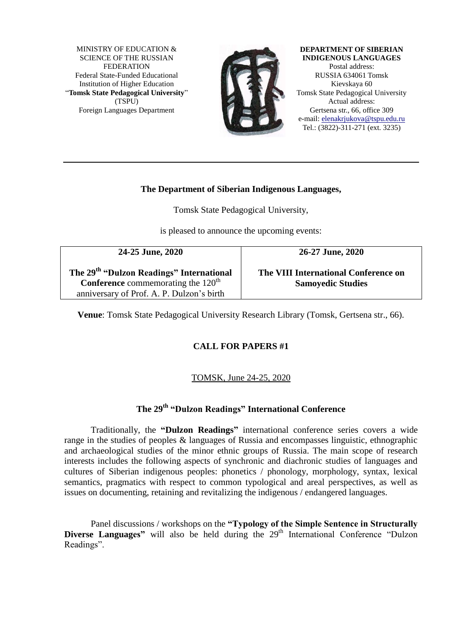MINISTRY OF EDUCATION & SCIENCE OF THE RUSSIAN FEDERATION Federal State-Funded Educational Institution of Higher Education "**Tomsk State Pedagogical University**" (TSPU) Foreign Languages Department



#### **DEPARTMENT OF SIBERIAN INDIGENOUS LANGUAGES** Postal address: RUSSIA 634061 Tomsk Kievskaya 60 Tomsk State Pedagogical University Actual address: Gertsena str., 66, office 309 e-mail[: elenakrjukova@tspu.edu.ru](mailto:elenakrjukova@tspu.edu.ru)

Tel.: (3822)-311-271 (ext. 3235)

#### **The Department of Siberian Indigenous Languages,**

Tomsk State Pedagogical University,

is pleased to announce the upcoming events:

**24-25 June, 2020 The 29th "Dulzon Readings" International Conference** commemorating the  $120<sup>th</sup>$ anniversary of Prof. A. P. Dulzon's birth **26-27 June, 2020**

**The VIII International Conference on Samoyedic Studies**

**Venue**: Tomsk State Pedagogical University Research Library (Tomsk, Gertsena str., 66).

# **CALL FOR PAPERS #1**

# TOMSK, June 24-25, 2020

## **The 29th "Dulzon Readings" International Conference**

Traditionally, the **"Dulzon Readings"** international conference series covers a wide range in the studies of peoples & languages of Russia and encompasses linguistic, ethnographic and archaeological studies of the minor ethnic groups of Russia. The main scope of research interests includes the following aspects of synchronic and diachronic studies of languages and cultures of Siberian indigenous peoples: phonetics / phonology, morphology, syntax, lexical semantics, pragmatics with respect to common typological and areal perspectives, as well as issues on documenting, retaining and revitalizing the indigenous / endangered languages.

Panel discussions / workshops on the **"Typology of the Simple Sentence in Structurally Diverse Languages**" will also be held during the 29<sup>th</sup> International Conference "Dulzon" Readings".